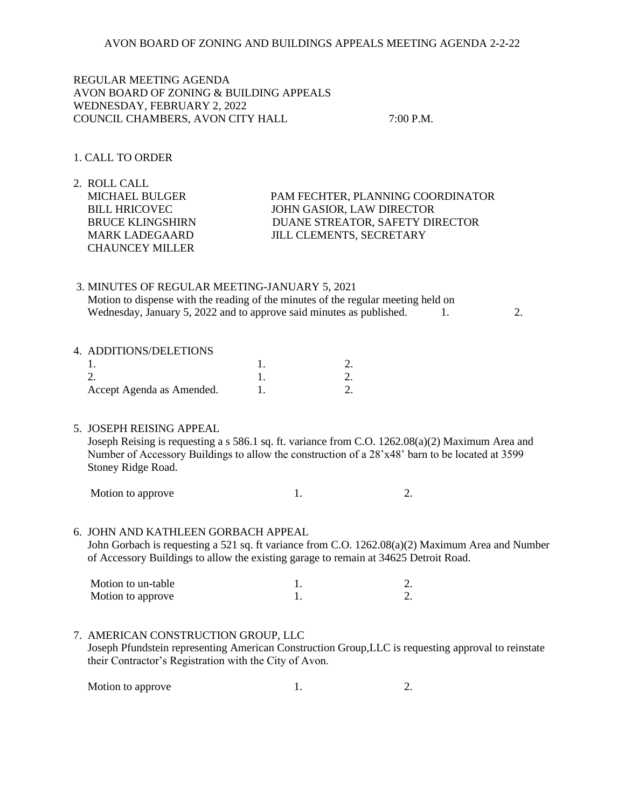REGULAR MEETING AGENDA AVON BOARD OF ZONING & BUILDING APPEALS WEDNESDAY, FEBRUARY 2, 2022 COUNCIL CHAMBERS, AVON CITY HALL 7:00 P.M.

# 1. CALL TO ORDER

2. ROLL CALL MICHAEL BULGER PAM FECHTER, PLANNING COORDINATOR BILL HRICOVEC JOHN GASIOR, LAW DIRECTOR BRUCE KLINGSHIRN DUANE STREATOR, SAFETY DIRECTOR MARK LADEGAARD JILL CLEMENTS, SECRETARY CHAUNCEY MILLER

3. MINUTES OF REGULAR MEETING-JANUARY 5, 2021 Motion to dispense with the reading of the minutes of the regular meeting held on Wednesday, January 5, 2022 and to approve said minutes as published. 1. 2.

#### 4. ADDITIONS/DELETIONS

| Accept Agenda as Amended. |  |
|---------------------------|--|

### 5. JOSEPH REISING APPEAL

 Joseph Reising is requesting a s 586.1 sq. ft. variance from C.O. 1262.08(a)(2) Maximum Area and Number of Accessory Buildings to allow the construction of a 28'x48' barn to be located at 3599 Stoney Ridge Road.

Motion to approve 1. 2.

### 6. JOHN AND KATHLEEN GORBACH APPEAL

 John Gorbach is requesting a 521 sq. ft variance from C.O. 1262.08(a)(2) Maximum Area and Number of Accessory Buildings to allow the existing garage to remain at 34625 Detroit Road.

| Motion to un-table |  |
|--------------------|--|
| Motion to approve  |  |

### 7. AMERICAN CONSTRUCTION GROUP, LLC

 Joseph Pfundstein representing American Construction Group,LLC is requesting approval to reinstate their Contractor's Registration with the City of Avon.

Motion to approve 1. 2.